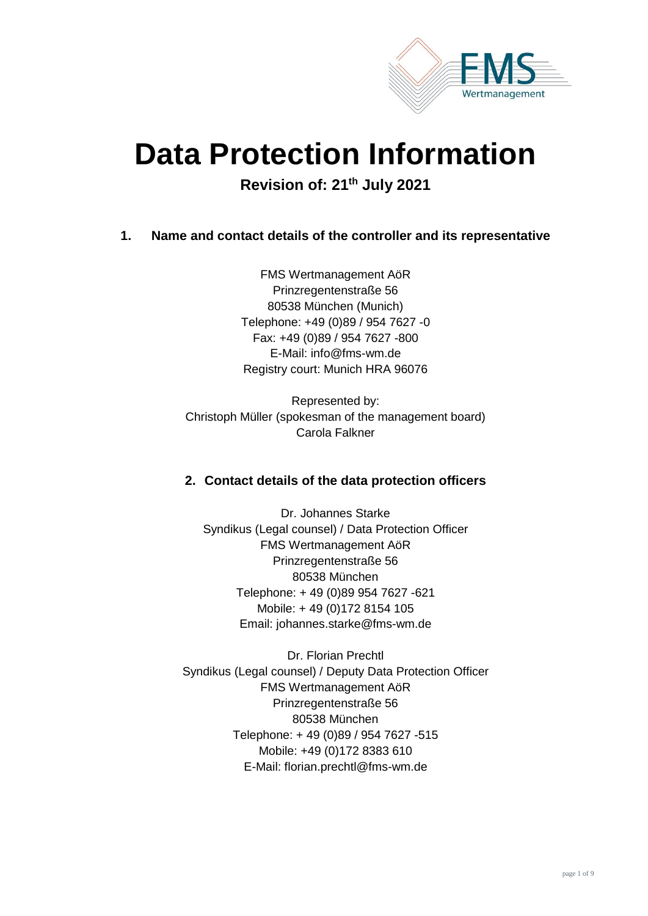

# **Data Protection Information**

**Revision of: 21th July 2021**

## **1. Name and contact details of the controller and its representative**

FMS Wertmanagement AöR Prinzregentenstraße 56 80538 München (Munich) Telephone: +49 (0)89 / 954 7627 -0 Fax: +49 (0)89 / 954 7627 -800 E-Mail: [info@fms-wm.de](mailto:info@fms-wm.de) Registry court: Munich HRA 96076

Represented by: Christoph Müller (spokesman of the management board) Carola Falkner

# **2. Contact details of the data protection officers**

Dr. Johannes Starke Syndikus (Legal counsel) / Data Protection Officer FMS Wertmanagement AöR Prinzregentenstraße 56 80538 München Telephone: + 49 (0)89 954 7627 -621 Mobile: + 49 (0)172 8154 105 Email: [johannes.starke@fms-wm.de](mailto:johannes.starke@fms-wm.de)

Dr. Florian Prechtl Syndikus (Legal counsel) / Deputy Data Protection Officer FMS Wertmanagement AöR Prinzregentenstraße 56 80538 München Telephone: + 49 (0)89 / 954 7627 -515 Mobile: +49 (0)172 8383 610 E-Mail: [florian.prechtl@fms-wm.de](mailto:florian.prechtl@fms-wm.de)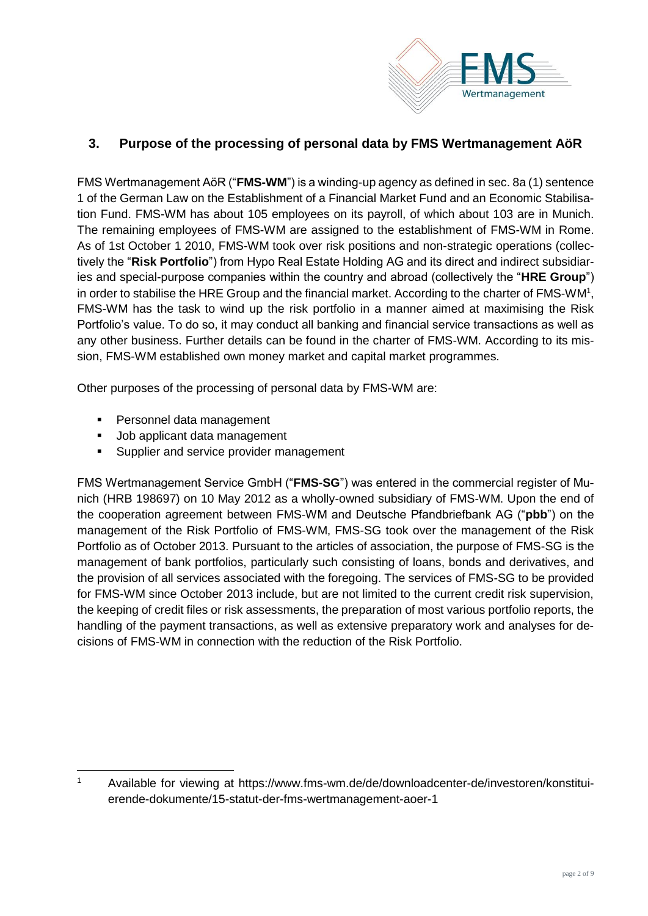

# **3. Purpose of the processing of personal data by FMS Wertmanagement AöR**

FMS Wertmanagement AöR ("**FMS-WM**") is a winding-up agency as defined in sec. 8a (1) sentence 1 of the German Law on the Establishment of a Financial Market Fund and an Economic Stabilisation Fund. FMS-WM has about 105 employees on its payroll, of which about 103 are in Munich. The remaining employees of FMS-WM are assigned to the establishment of FMS-WM in Rome. As of 1st October 1 2010, FMS-WM took over risk positions and non-strategic operations (collectively the "**Risk Portfolio**") from Hypo Real Estate Holding AG and its direct and indirect subsidiaries and special-purpose companies within the country and abroad (collectively the "**HRE Group**") in order to stabilise the HRE Group and the financial market. According to the charter of FMS-WM<sup>1</sup>, FMS-WM has the task to wind up the risk portfolio in a manner aimed at maximising the Risk Portfolio's value. To do so, it may conduct all banking and financial service transactions as well as any other business. Further details can be found in the charter of FMS-WM. According to its mission, FMS-WM established own money market and capital market programmes.

Other purposes of the processing of personal data by FMS-WM are:

- Personnel data management
- Job applicant data management
- Supplier and service provider management

FMS Wertmanagement Service GmbH ("**FMS-SG**") was entered in the commercial register of Munich (HRB 198697) on 10 May 2012 as a wholly-owned subsidiary of FMS-WM. Upon the end of the cooperation agreement between FMS-WM and Deutsche Pfandbriefbank AG ("**pbb**") on the management of the Risk Portfolio of FMS-WM, FMS-SG took over the management of the Risk Portfolio as of October 2013. Pursuant to the articles of association, the purpose of FMS-SG is the management of bank portfolios, particularly such consisting of loans, bonds and derivatives, and the provision of all services associated with the foregoing. The services of FMS-SG to be provided for FMS-WM since October 2013 include, but are not limited to the current credit risk supervision, the keeping of credit files or risk assessments, the preparation of most various portfolio reports, the handling of the payment transactions, as well as extensive preparatory work and analyses for decisions of FMS-WM in connection with the reduction of the Risk Portfolio.

 $\overline{a}$ <sup>1</sup> Available for viewing at https://www.fms-wm.de/de/downloadcenter-de/investoren/konstituierende-dokumente/15-statut-der-fms-wertmanagement-aoer-1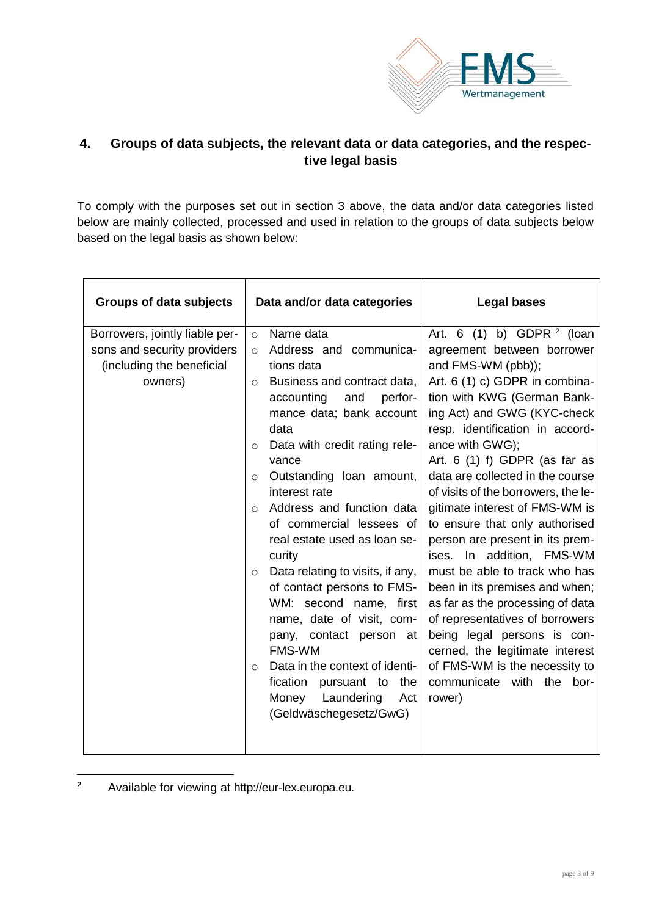

# **4. Groups of data subjects, the relevant data or data categories, and the respective legal basis**

To comply with the purposes set out in section 3 above, the data and/or data categories listed below are mainly collected, processed and used in relation to the groups of data subjects below based on the legal basis as shown below:

| <b>Groups of data subjects</b>                                                                        | Data and/or data categories                                                                                                                                                                                                                                                                                                                                                                                                                                                                                                                                                                         | <b>Legal bases</b>                                                                                                                                                                                                                                                                                                                                                                                                                                                                                                                                                                                                                                                                                  |
|-------------------------------------------------------------------------------------------------------|-----------------------------------------------------------------------------------------------------------------------------------------------------------------------------------------------------------------------------------------------------------------------------------------------------------------------------------------------------------------------------------------------------------------------------------------------------------------------------------------------------------------------------------------------------------------------------------------------------|-----------------------------------------------------------------------------------------------------------------------------------------------------------------------------------------------------------------------------------------------------------------------------------------------------------------------------------------------------------------------------------------------------------------------------------------------------------------------------------------------------------------------------------------------------------------------------------------------------------------------------------------------------------------------------------------------------|
| Borrowers, jointly liable per-<br>sons and security providers<br>(including the beneficial<br>owners) | Name data<br>$\circ$<br>Address and communica-<br>$\circ$<br>tions data<br>Business and contract data,<br>$\circ$<br>accounting<br>and<br>perfor-<br>mance data; bank account<br>data<br>Data with credit rating rele-<br>$\circ$<br>vance<br>Outstanding loan amount,<br>$\circ$<br>interest rate<br>Address and function data<br>$\circ$<br>of commercial lessees of<br>real estate used as loan se-<br>curity<br>Data relating to visits, if any,<br>$\circ$<br>of contact persons to FMS-<br>WM: second name, first<br>name, date of visit, com-<br>pany, contact person<br>at<br><b>FMS-WM</b> | Art. 6 (1) b) GDPR $2$ (loan<br>agreement between borrower<br>and FMS-WM (pbb));<br>Art. 6 (1) c) GDPR in combina-<br>tion with KWG (German Bank-<br>ing Act) and GWG (KYC-check<br>resp. identification in accord-<br>ance with GWG);<br>Art. $6(1)$ f) GDPR (as far as<br>data are collected in the course<br>of visits of the borrowers, the le-<br>gitimate interest of FMS-WM is<br>to ensure that only authorised<br>person are present in its prem-<br>ises. In addition, FMS-WM<br>must be able to track who has<br>been in its premises and when;<br>as far as the processing of data<br>of representatives of borrowers<br>being legal persons is con-<br>cerned, the legitimate interest |
|                                                                                                       | Data in the context of identi-<br>$\circ$<br>fication<br>pursuant to<br>the<br>Laundering<br>Money<br>Act<br>(Geldwäschegesetz/GwG)                                                                                                                                                                                                                                                                                                                                                                                                                                                                 | of FMS-WM is the necessity to<br>communicate with the bor-<br>rower)                                                                                                                                                                                                                                                                                                                                                                                                                                                                                                                                                                                                                                |

 $\overline{2}$ Available for viewing at http://eur-lex.europa.eu.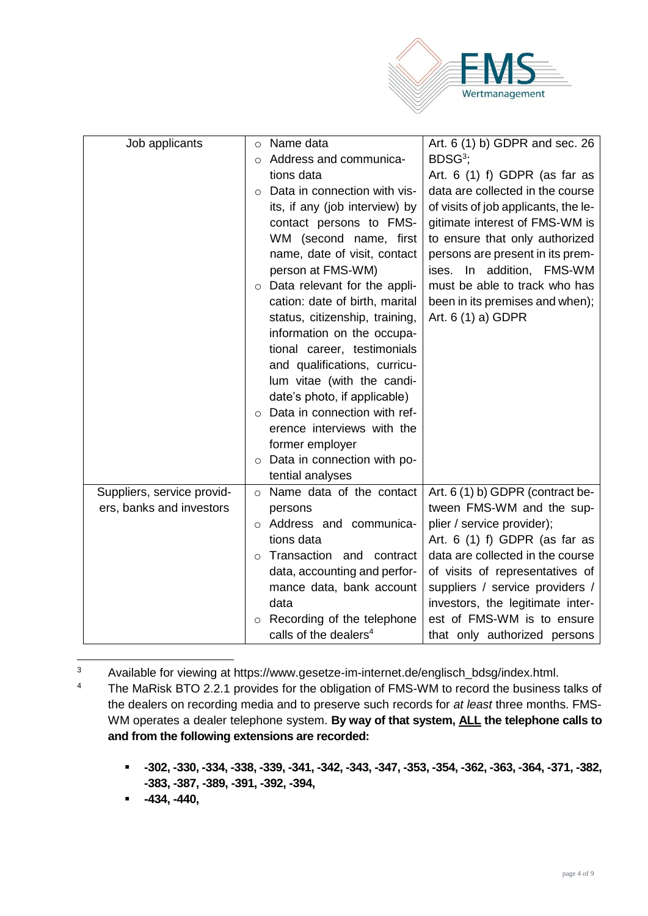

| Job applicants             | Name data<br>$\circ$                 | Art. 6 (1) b) GDPR and sec. 26                                      |
|----------------------------|--------------------------------------|---------------------------------------------------------------------|
|                            | Address and communica-<br>$\bigcirc$ | $BDSG3$ ;                                                           |
|                            | tions data                           | Art. $6(1)$ f) GDPR (as far as                                      |
|                            | Data in connection with vis-         | data are collected in the course                                    |
|                            | its, if any (job interview) by       | of visits of job applicants, the le-                                |
|                            | contact persons to FMS-              | gitimate interest of FMS-WM is                                      |
|                            | WM (second name, first               | to ensure that only authorized                                      |
|                            | name, date of visit, contact         | persons are present in its prem-                                    |
|                            | person at FMS-WM)                    | ises. In addition, FMS-WM                                           |
|                            | $\circ$ Data relevant for the appli- | must be able to track who has                                       |
|                            | cation: date of birth, marital       | been in its premises and when);                                     |
|                            | status, citizenship, training,       | Art. 6 (1) a) GDPR                                                  |
|                            | information on the occupa-           |                                                                     |
|                            | tional career, testimonials          |                                                                     |
|                            | and qualifications, curricu-         |                                                                     |
|                            | lum vitae (with the candi-           |                                                                     |
|                            | date's photo, if applicable)         |                                                                     |
|                            | Data in connection with ref-         |                                                                     |
|                            | erence interviews with the           |                                                                     |
|                            | former employer                      |                                                                     |
|                            | Data in connection with po-          |                                                                     |
|                            | tential analyses                     |                                                                     |
| Suppliers, service provid- | o Name data of the contact           | Art. 6 (1) b) GDPR (contract be-                                    |
| ers, banks and investors   | persons                              | tween FMS-WM and the sup-                                           |
|                            | o Address and communica-             | plier / service provider);                                          |
|                            | tions data                           | Art. $6$ (1) f) GDPR (as far as                                     |
|                            | Transaction and contract<br>$\Omega$ | data are collected in the course                                    |
|                            | data, accounting and perfor-         | of visits of representatives of                                     |
|                            | mance data, bank account<br>data     | suppliers / service providers /<br>investors, the legitimate inter- |
|                            | Recording of the telephone           | est of FMS-WM is to ensure                                          |
|                            | calls of the dealers <sup>4</sup>    | that only authorized persons                                        |
|                            |                                      |                                                                     |

 $\overline{3}$ Available for viewing at https://www.gesetze-im-internet.de/englisch\_bdsg/index.html.

<sup>4</sup> The MaRisk BTO 2.2.1 provides for the obligation of FMS-WM to record the business talks of the dealers on recording media and to preserve such records for *at least* three months. FMS-WM operates a dealer telephone system. **By way of that system, ALL the telephone calls to and from the following extensions are recorded:** 

- **-302, -330, -334, -338, -339, -341, -342, -343, -347, -353, -354, -362, -363, -364, -371, -382, -383, -387, -389, -391, -392, -394,**
- **-434, -440,**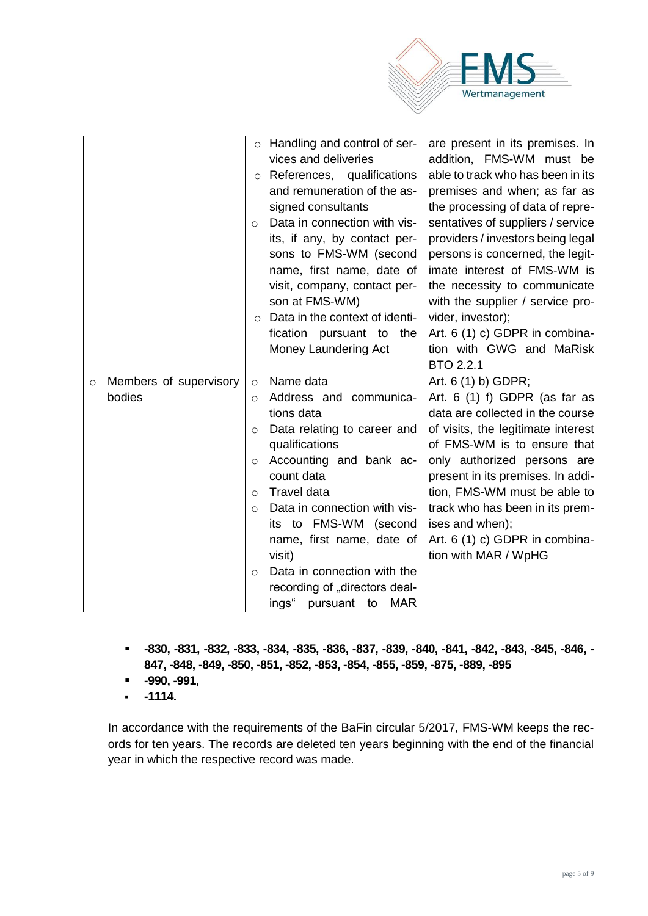

|                                             | o Handling and control of ser-<br>vices and deliveries<br>$\circ$ References, qualifications<br>and remuneration of the as-<br>signed consultants<br>Data in connection with vis-<br>$\Omega$<br>its, if any, by contact per-<br>sons to FMS-WM (second<br>name, first name, date of<br>visit, company, contact per-<br>son at FMS-WM)<br>Data in the context of identi-<br>$\circ$<br>fication pursuant to the<br>Money Laundering Act        | are present in its premises. In<br>addition, FMS-WM must be<br>able to track who has been in its<br>premises and when; as far as<br>the processing of data of repre-<br>sentatives of suppliers / service<br>providers / investors being legal<br>persons is concerned, the legit-<br>imate interest of FMS-WM is<br>the necessity to communicate<br>with the supplier / service pro-<br>vider, investor);<br>Art. 6 (1) c) GDPR in combina-<br>tion with GWG and MaRisk<br>BTO 2.2.1 |
|---------------------------------------------|------------------------------------------------------------------------------------------------------------------------------------------------------------------------------------------------------------------------------------------------------------------------------------------------------------------------------------------------------------------------------------------------------------------------------------------------|---------------------------------------------------------------------------------------------------------------------------------------------------------------------------------------------------------------------------------------------------------------------------------------------------------------------------------------------------------------------------------------------------------------------------------------------------------------------------------------|
| Members of supervisory<br>$\circ$<br>bodies | Name data<br>$\circ$<br>Address and communica-<br>O<br>tions data<br>Data relating to career and<br>$\circ$<br>qualifications<br>Accounting and bank ac-<br>$\circ$<br>count data<br><b>Travel data</b><br>$\circ$<br>Data in connection with vis-<br>$\circ$<br>its to FMS-WM (second<br>name, first name, date of<br>visit)<br>Data in connection with the<br>$\circ$<br>recording of "directors deal-<br>ings"<br>pursuant to<br><b>MAR</b> | Art. 6 (1) b) GDPR;<br>Art. $6(1)$ f) GDPR (as far as<br>data are collected in the course<br>of visits, the legitimate interest<br>of FMS-WM is to ensure that<br>only authorized persons are<br>present in its premises. In addi-<br>tion, FMS-WM must be able to<br>track who has been in its prem-<br>ises and when);<br>Art. 6 (1) c) GDPR in combina-<br>tion with MAR / WpHG                                                                                                    |

▪ **-830, -831, -832, -833, -834, -835, -836, -837, -839, -840, -841, -842, -843, -845, -846, - 847, -848, -849, -850, -851, -852, -853, -854, -855, -859, -875, -889, -895**

- **-990, -991,**
- **-1114.**

 $\overline{a}$ 

In accordance with the requirements of the BaFin circular 5/2017, FMS-WM keeps the records for ten years. The records are deleted ten years beginning with the end of the financial year in which the respective record was made.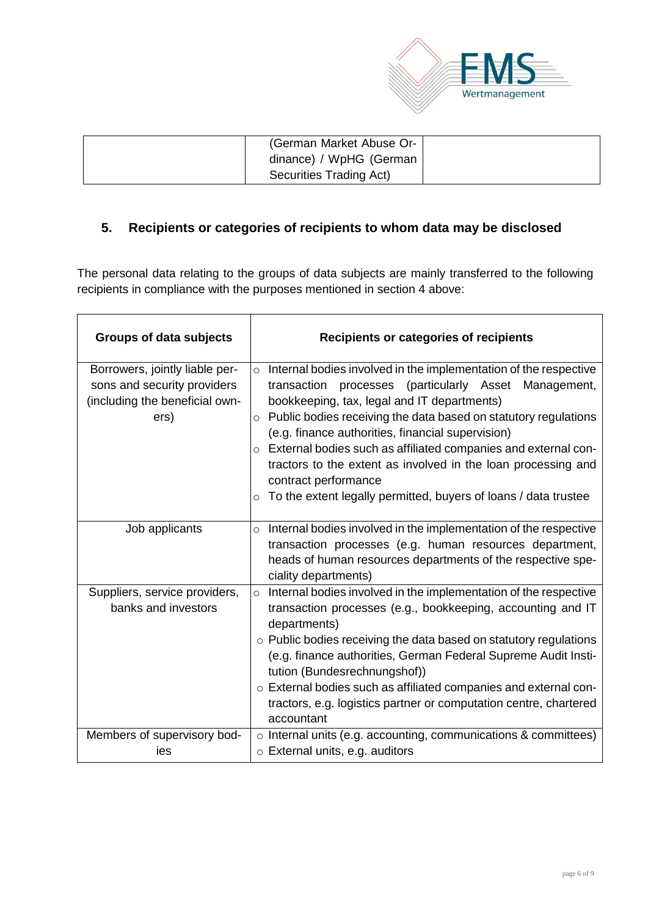

| (German Market Abuse Or- |  |
|--------------------------|--|
| dinance) / WpHG (German  |  |
| Securities Trading Act)  |  |

# **5. Recipients or categories of recipients to whom data may be disclosed**

The personal data relating to the groups of data subjects are mainly transferred to the following recipients in compliance with the purposes mentioned in section 4 above:

| <b>Groups of data subjects</b>                                                                          | Recipients or categories of recipients                                                                                                                                                                                                                                                                                                                                                                                                                                                                                                                      |
|---------------------------------------------------------------------------------------------------------|-------------------------------------------------------------------------------------------------------------------------------------------------------------------------------------------------------------------------------------------------------------------------------------------------------------------------------------------------------------------------------------------------------------------------------------------------------------------------------------------------------------------------------------------------------------|
| Borrowers, jointly liable per-<br>sons and security providers<br>(including the beneficial own-<br>ers) | $\circ$ Internal bodies involved in the implementation of the respective<br>transaction processes (particularly Asset Management,<br>bookkeeping, tax, legal and IT departments)<br>Public bodies receiving the data based on statutory regulations<br>$\circ$<br>(e.g. finance authorities, financial supervision)<br>o External bodies such as affiliated companies and external con-<br>tractors to the extent as involved in the loan processing and<br>contract performance<br>$\circ$ To the extent legally permitted, buyers of loans / data trustee |
| Job applicants                                                                                          | $\circ$ Internal bodies involved in the implementation of the respective<br>transaction processes (e.g. human resources department,<br>heads of human resources departments of the respective spe-<br>ciality departments)                                                                                                                                                                                                                                                                                                                                  |
| Suppliers, service providers,<br>banks and investors                                                    | Internal bodies involved in the implementation of the respective<br>$\circ$<br>transaction processes (e.g., bookkeeping, accounting and IT<br>departments)<br>o Public bodies receiving the data based on statutory regulations<br>(e.g. finance authorities, German Federal Supreme Audit Insti-<br>tution (Bundesrechnungshof))<br>o External bodies such as affiliated companies and external con-<br>tractors, e.g. logistics partner or computation centre, chartered<br>accountant                                                                    |
| Members of supervisory bod-<br>ies                                                                      | o Internal units (e.g. accounting, communications & committees)<br>$\circ$ External units, e.g. auditors                                                                                                                                                                                                                                                                                                                                                                                                                                                    |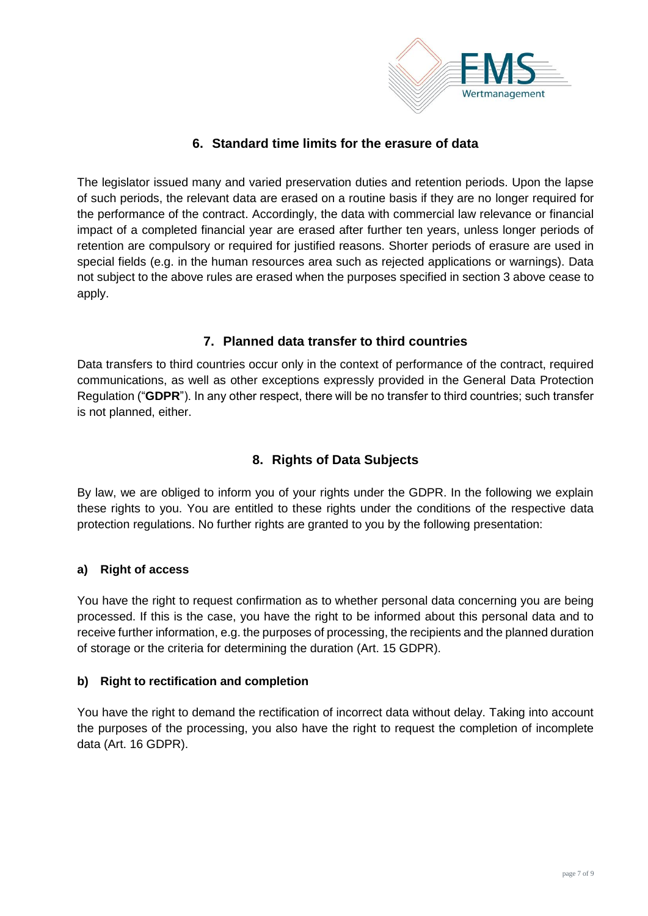

# **6. Standard time limits for the erasure of data**

The legislator issued many and varied preservation duties and retention periods. Upon the lapse of such periods, the relevant data are erased on a routine basis if they are no longer required for the performance of the contract. Accordingly, the data with commercial law relevance or financial impact of a completed financial year are erased after further ten years, unless longer periods of retention are compulsory or required for justified reasons. Shorter periods of erasure are used in special fields (e.g. in the human resources area such as rejected applications or warnings). Data not subject to the above rules are erased when the purposes specified in section 3 above cease to apply.

## **7. Planned data transfer to third countries**

Data transfers to third countries occur only in the context of performance of the contract, required communications, as well as other exceptions expressly provided in the General Data Protection Regulation ("**GDPR**"). In any other respect, there will be no transfer to third countries; such transfer is not planned, either.

# **8. Rights of Data Subjects**

By law, we are obliged to inform you of your rights under the GDPR. In the following we explain these rights to you. You are entitled to these rights under the conditions of the respective data protection regulations. No further rights are granted to you by the following presentation:

#### **a) Right of access**

You have the right to request confirmation as to whether personal data concerning you are being processed. If this is the case, you have the right to be informed about this personal data and to receive further information, e.g. the purposes of processing, the recipients and the planned duration of storage or the criteria for determining the duration (Art. 15 GDPR).

#### **b) Right to rectification and completion**

You have the right to demand the rectification of incorrect data without delay. Taking into account the purposes of the processing, you also have the right to request the completion of incomplete data (Art. 16 GDPR).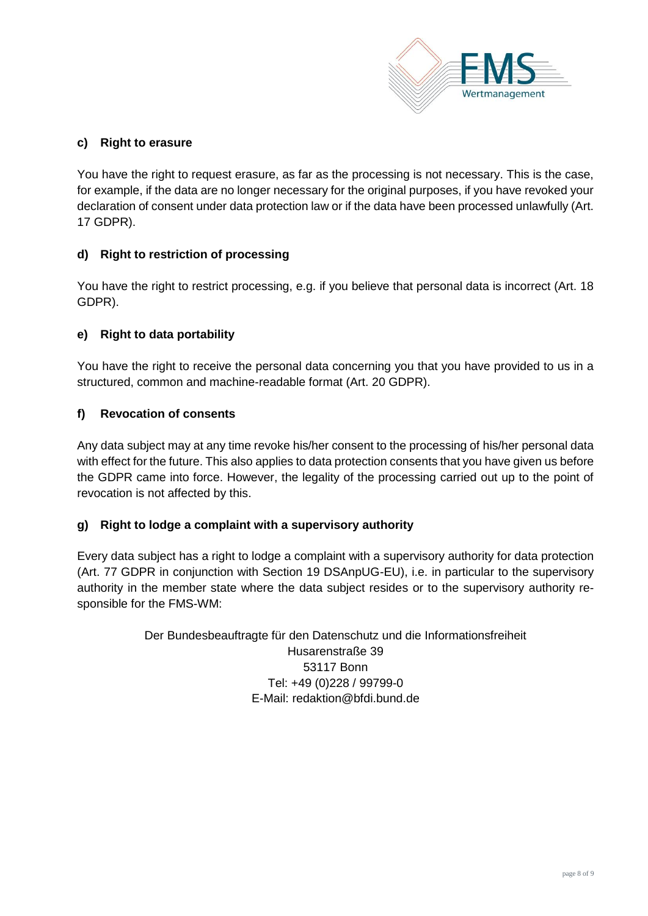

#### **c) Right to erasure**

You have the right to request erasure, as far as the processing is not necessary. This is the case, for example, if the data are no longer necessary for the original purposes, if you have revoked your declaration of consent under data protection law or if the data have been processed unlawfully (Art. 17 GDPR).

#### **d) Right to restriction of processing**

You have the right to restrict processing, e.g. if you believe that personal data is incorrect (Art. 18 GDPR).

#### **e) Right to data portability**

You have the right to receive the personal data concerning you that you have provided to us in a structured, common and machine-readable format (Art. 20 GDPR).

#### **f) Revocation of consents**

Any data subject may at any time revoke his/her consent to the processing of his/her personal data with effect for the future. This also applies to data protection consents that you have given us before the GDPR came into force. However, the legality of the processing carried out up to the point of revocation is not affected by this.

#### **g) Right to lodge a complaint with a supervisory authority**

Every data subject has a right to lodge a complaint with a supervisory authority for data protection (Art. 77 GDPR in conjunction with Section 19 DSAnpUG-EU), i.e. in particular to the supervisory authority in the member state where the data subject resides or to the supervisory authority responsible for the FMS-WM:

> Der Bundesbeauftragte für den Datenschutz und die Informationsfreiheit Husarenstraße 39 53117 Bonn Tel: +49 (0)228 / 99799-0 E-Mail: [redaktion@bfdi.bund.de](mailto:redaktion@bfdi.bund.de)